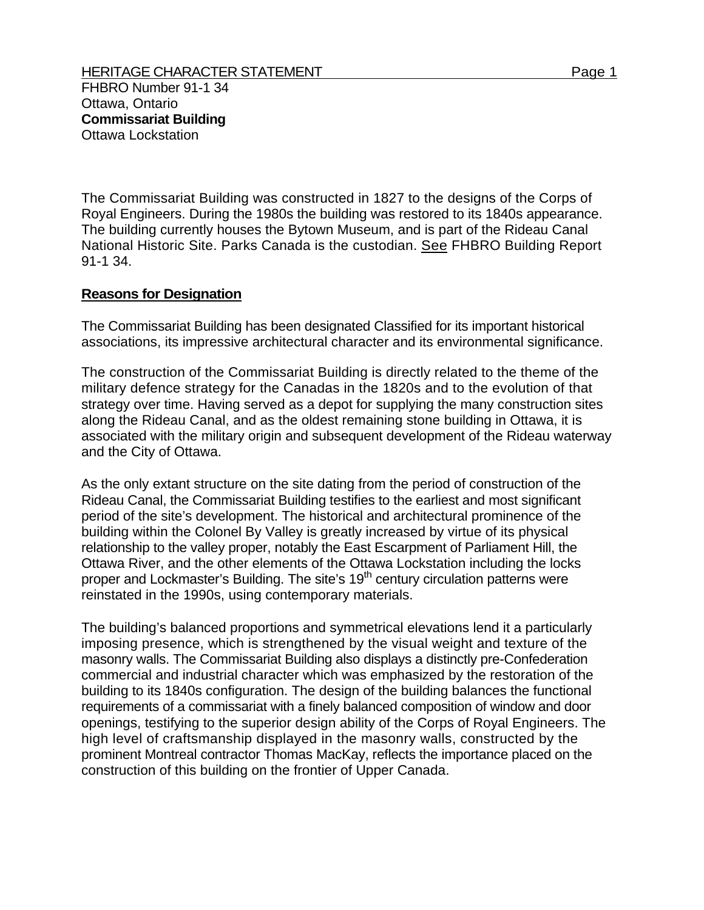The Commissariat Building was constructed in 1827 to the designs of the Corps of Royal Engineers. During the 1980s the building was restored to its 1840s appearance. The building currently houses the Bytown Museum, and is part of the Rideau Canal National Historic Site. Parks Canada is the custodian. See FHBRO Building Report 91-1 34.

## **Reasons for Designation**

The Commissariat Building has been designated Classified for its important historical associations, its impressive architectural character and its environmental significance.

The construction of the Commissariat Building is directly related to the theme of the military defence strategy for the Canadas in the 1820s and to the evolution of that strategy over time. Having served as a depot for supplying the many construction sites along the Rideau Canal, and as the oldest remaining stone building in Ottawa, it is associated with the military origin and subsequent development of the Rideau waterway and the City of Ottawa.

As the only extant structure on the site dating from the period of construction of the Rideau Canal, the Commissariat Building testifies to the earliest and most significant period of the site's development. The historical and architectural prominence of the building within the Colonel By Valley is greatly increased by virtue of its physical relationship to the valley proper, notably the East Escarpment of Parliament Hill, the Ottawa River, and the other elements of the Ottawa Lockstation including the locks proper and Lockmaster's Building. The site's  $19<sup>th</sup>$  century circulation patterns were reinstated in the 1990s, using contemporary materials.

The building's balanced proportions and symmetrical elevations lend it a particularly imposing presence, which is strengthened by the visual weight and texture of the masonry walls. The Commissariat Building also displays a distinctly pre-Confederation commercial and industrial character which was emphasized by the restoration of the building to its 1840s configuration. The design of the building balances the functional requirements of a commissariat with a finely balanced composition of window and door openings, testifying to the superior design ability of the Corps of Royal Engineers. The high level of craftsmanship displayed in the masonry walls, constructed by the prominent Montreal contractor Thomas MacKay, reflects the importance placed on the construction of this building on the frontier of Upper Canada.